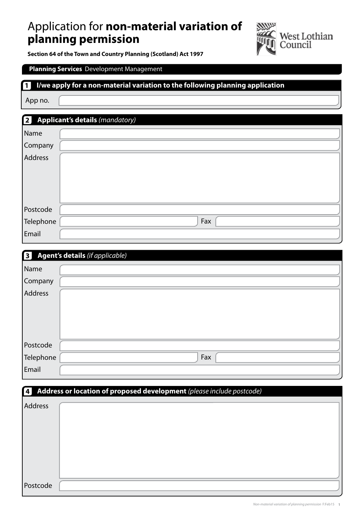# Application for **non-material variation of planning permission**



**Section 64 of the Town and Country Planning (Scotland) Act 1997** 

### **Planning Services** Development Management

#### **I/we apply for a non-material variation to the following planning application 1**

App no.

| <b>Applicant's details (mandatory)</b><br>$\lceil 2 \rceil$ |     |  |  |  |  |
|-------------------------------------------------------------|-----|--|--|--|--|
| Name                                                        |     |  |  |  |  |
| Company                                                     |     |  |  |  |  |
| Address                                                     |     |  |  |  |  |
|                                                             |     |  |  |  |  |
|                                                             |     |  |  |  |  |
|                                                             |     |  |  |  |  |
| Postcode                                                    |     |  |  |  |  |
| Telephone                                                   | Fax |  |  |  |  |
| Email                                                       |     |  |  |  |  |

| Agent's details (if applicable)<br>$\lceil 3 \rceil$ |     |  |  |  |  |
|------------------------------------------------------|-----|--|--|--|--|
| Name                                                 |     |  |  |  |  |
| Company                                              |     |  |  |  |  |
| Address                                              |     |  |  |  |  |
|                                                      |     |  |  |  |  |
|                                                      |     |  |  |  |  |
|                                                      |     |  |  |  |  |
| Postcode                                             |     |  |  |  |  |
| Telephone                                            | Fax |  |  |  |  |
| Email                                                |     |  |  |  |  |

#### **4 Address or location of proposed development** *(please include postcode)*

| Address  |  |
|----------|--|
|          |  |
|          |  |
|          |  |
|          |  |
|          |  |
| Postcode |  |